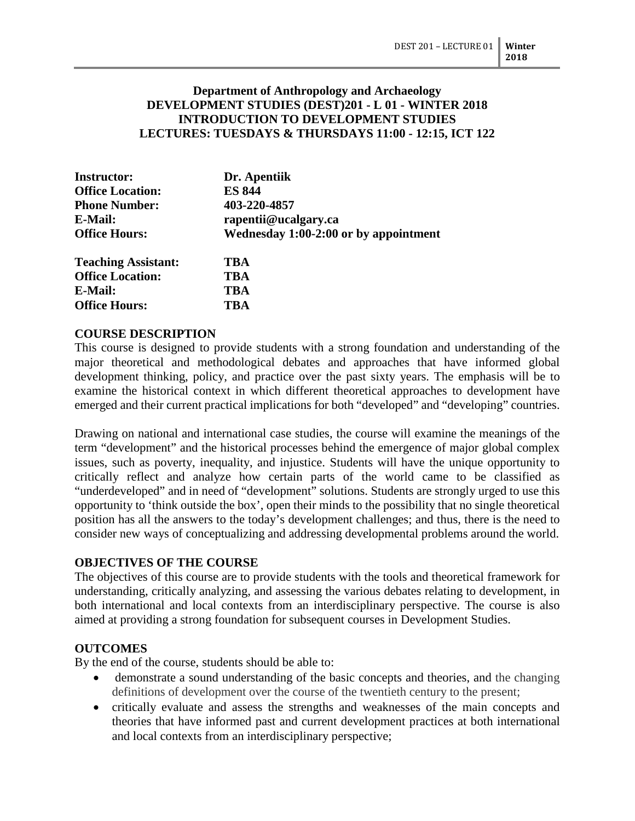### **Department of Anthropology and Archaeology DEVELOPMENT STUDIES (DEST)201 - L 01 - WINTER 2018 INTRODUCTION TO DEVELOPMENT STUDIES LECTURES: TUESDAYS & THURSDAYS 11:00 - 12:15, ICT 122**

| <b>Instructor:</b>         | Dr. Apentiik                          |  |
|----------------------------|---------------------------------------|--|
| <b>Office Location:</b>    | <b>ES 844</b>                         |  |
| <b>Phone Number:</b>       | 403-220-4857                          |  |
| E-Mail:                    | rapentii@ucalgary.ca                  |  |
| <b>Office Hours:</b>       | Wednesday 1:00-2:00 or by appointment |  |
| <b>Teaching Assistant:</b> | TBA                                   |  |
| <b>Office Location:</b>    | TBA                                   |  |
| E-Mail:                    | <b>TBA</b>                            |  |

### **COURSE DESCRIPTION**

**Office Hours: TBA**

This course is designed to provide students with a strong foundation and understanding of the major theoretical and methodological debates and approaches that have informed global development thinking, policy, and practice over the past sixty years. The emphasis will be to examine the historical context in which different theoretical approaches to development have emerged and their current practical implications for both "developed" and "developing" countries.

Drawing on national and international case studies, the course will examine the meanings of the term "development" and the historical processes behind the emergence of major global complex issues, such as poverty, inequality, and injustice. Students will have the unique opportunity to critically reflect and analyze how certain parts of the world came to be classified as "underdeveloped" and in need of "development" solutions. Students are strongly urged to use this opportunity to 'think outside the box', open their minds to the possibility that no single theoretical position has all the answers to the today's development challenges; and thus, there is the need to consider new ways of conceptualizing and addressing developmental problems around the world.

#### **OBJECTIVES OF THE COURSE**

The objectives of this course are to provide students with the tools and theoretical framework for understanding, critically analyzing, and assessing the various debates relating to development, in both international and local contexts from an interdisciplinary perspective. The course is also aimed at providing a strong foundation for subsequent courses in Development Studies.

### **OUTCOMES**

By the end of the course, students should be able to:

- demonstrate a sound understanding of the basic concepts and theories, and the changing definitions of development over the course of the twentieth century to the present;
- critically evaluate and assess the strengths and weaknesses of the main concepts and theories that have informed past and current development practices at both international and local contexts from an interdisciplinary perspective;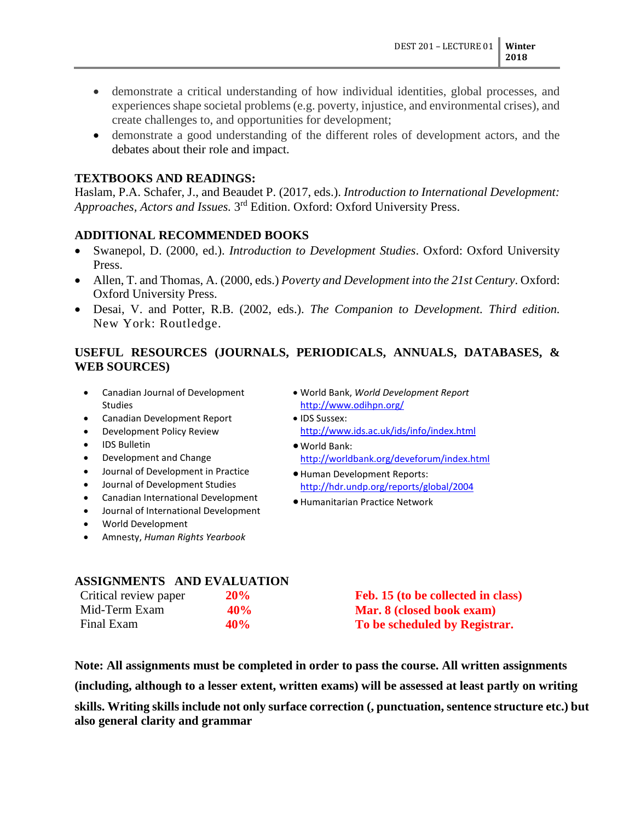- demonstrate a critical understanding of how individual identities, global processes, and experiences shape societal problems (e.g. poverty, injustice, and environmental crises), and create challenges to, and opportunities for development;
- demonstrate a good understanding of the different roles of development actors, and the debates about their role and impact.

### **TEXTBOOKS AND READINGS:**

Haslam, P.A. Schafer, J., and Beaudet P. (2017, eds.). *Introduction to International Development: Approaches, Actors and Issues.* 3rd Edition. Oxford: Oxford University Press.

#### **ADDITIONAL RECOMMENDED BOOKS**

- Swanepol, D. (2000, ed.). *Introduction to Development Studies*. Oxford: Oxford University Press.
- Allen, T. and Thomas, A. (2000, eds.) *Poverty and Development into the 21st Century*. Oxford: Oxford University Press.
- Desai, V. and Potter, R.B. (2002, eds.). *The Companion to Development. Third edition.*  New York: Routledge.

# **USEFUL RESOURCES (JOURNALS, PERIODICALS, ANNUALS, DATABASES, & WEB SOURCES)**

- Canadian Journal of Development Studies
- Canadian Development Report
- Development Policy Review
- IDS Bulletin
- Development and Change
- Journal of Development in Practice
- Journal of Development Studies
- Canadian International Development
- Journal of International Development
- World Development
- Amnesty, *Human Rights Yearbook*
- World Bank, *World Development Report*  <http://www.odihpn.org/>
- IDS Sussex: <http://www.ids.ac.uk/ids/info/index.html>
- World Bank: <http://worldbank.org/deveforum/index.html>

- Human Development Reports: <http://hdr.undp.org/reports/global/2004>
- Humanitarian Practice Network

# **ASSIGNMENTS AND EVALUATION**

| Critical review paper | 20%    | Feb. 15 (to be collected in class) |
|-----------------------|--------|------------------------------------|
| Mid-Term Exam         | $40\%$ | <b>Mar. 8 (closed book exam)</b>   |
| Final Exam            | 40\%   | To be scheduled by Registrar.      |

**Note: All assignments must be completed in order to pass the course. All written assignments** 

**(including, although to a lesser extent, written exams) will be assessed at least partly on writing** 

**skills. Writing skills include not only surface correction (, punctuation, sentence structure etc.) but also general clarity and grammar**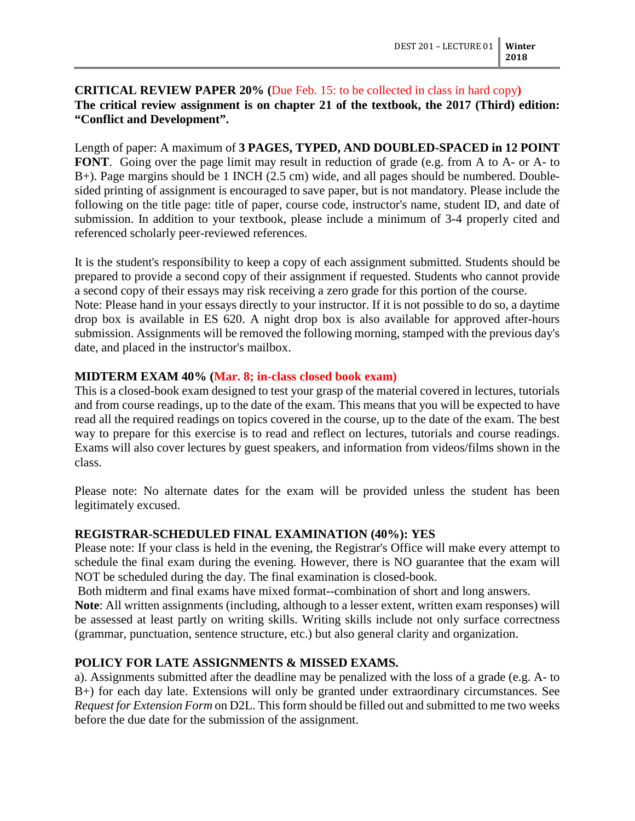### **CRITICAL REVIEW PAPER 20% (**Due Feb. 15: to be collected in class in hard copy**) The critical review assignment is on chapter 21 of the textbook, the 2017 (Third) edition: "Conflict and Development".**

Length of paper: A maximum of **3 PAGES, TYPED, AND DOUBLED-SPACED in 12 POINT FONT**. Going over the page limit may result in reduction of grade (e.g. from A to A- or A- to B+). Page margins should be 1 INCH (2.5 cm) wide, and all pages should be numbered. Doublesided printing of assignment is encouraged to save paper, but is not mandatory. Please include the following on the title page: title of paper, course code, instructor's name, student ID, and date of submission. In addition to your textbook, please include a minimum of 3-4 properly cited and referenced scholarly peer-reviewed references.

It is the student's responsibility to keep a copy of each assignment submitted. Students should be prepared to provide a second copy of their assignment if requested. Students who cannot provide a second copy of their essays may risk receiving a zero grade for this portion of the course. Note: Please hand in your essays directly to your instructor. If it is not possible to do so, a daytime drop box is available in ES 620. A night drop box is also available for approved after-hours submission. Assignments will be removed the following morning, stamped with the previous day's date, and placed in the instructor's mailbox.

### **MIDTERM EXAM 40% (Mar. 8; in-class closed book exam)**

This is a closed-book exam designed to test your grasp of the material covered in lectures, tutorials and from course readings, up to the date of the exam. This means that you will be expected to have read all the required readings on topics covered in the course, up to the date of the exam. The best way to prepare for this exercise is to read and reflect on lectures, tutorials and course readings. Exams will also cover lectures by guest speakers, and information from videos/films shown in the class.

Please note: No alternate dates for the exam will be provided unless the student has been legitimately excused.

# **REGISTRAR-SCHEDULED FINAL EXAMINATION (40%): YES**

Please note: If your class is held in the evening, the Registrar's Office will make every attempt to schedule the final exam during the evening. However, there is NO guarantee that the exam will NOT be scheduled during the day. The final examination is closed-book.

Both midterm and final exams have mixed format--combination of short and long answers.

**Note**: All written assignments (including, although to a lesser extent, written exam responses) will be assessed at least partly on writing skills. Writing skills include not only surface correctness (grammar, punctuation, sentence structure, etc.) but also general clarity and organization.

# **POLICY FOR LATE ASSIGNMENTS & MISSED EXAMS.**

a). Assignments submitted after the deadline may be penalized with the loss of a grade (e.g. A- to B+) for each day late. Extensions will only be granted under extraordinary circumstances. See *Request for Extension Form* on D2L. This form should be filled out and submitted to me two weeks before the due date for the submission of the assignment.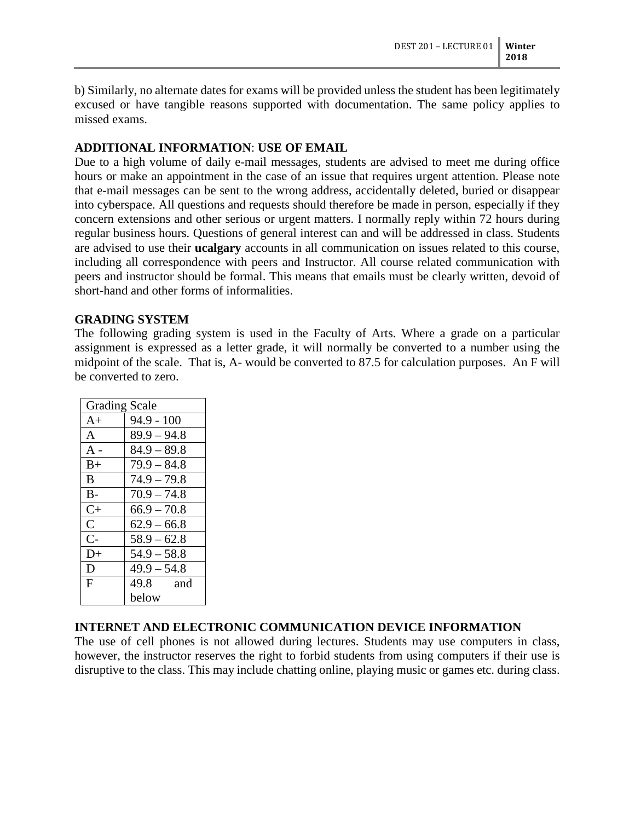b) Similarly, no alternate dates for exams will be provided unless the student has been legitimately excused or have tangible reasons supported with documentation. The same policy applies to missed exams.

### **ADDITIONAL INFORMATION**: **USE OF EMAIL**

Due to a high volume of daily e-mail messages, students are advised to meet me during office hours or make an appointment in the case of an issue that requires urgent attention. Please note that e-mail messages can be sent to the wrong address, accidentally deleted, buried or disappear into cyberspace. All questions and requests should therefore be made in person, especially if they concern extensions and other serious or urgent matters. I normally reply within 72 hours during regular business hours. Questions of general interest can and will be addressed in class. Students are advised to use their **ucalgary** accounts in all communication on issues related to this course, including all correspondence with peers and Instructor. All course related communication with peers and instructor should be formal. This means that emails must be clearly written, devoid of short-hand and other forms of informalities.

#### **GRADING SYSTEM**

The following grading system is used in the Faculty of Arts. Where a grade on a particular assignment is expressed as a letter grade, it will normally be converted to a number using the midpoint of the scale. That is, A- would be converted to 87.5 for calculation purposes. An F will be converted to zero.

| <b>Grading Scale</b> |               |  |
|----------------------|---------------|--|
| $A+$                 | $94.9 - 100$  |  |
| $\mathsf{A}$         | $89.9 - 94.8$ |  |
| $A -$                | $84.9 - 89.8$ |  |
| $B+$                 | $79.9 - 84.8$ |  |
| B                    | $74.9 - 79.8$ |  |
| $B -$                | $70.9 - 74.8$ |  |
| $C+$                 | $66.9 - 70.8$ |  |
| $\overline{C}$       | $62.9 - 66.8$ |  |
| $C-$                 | $58.9 - 62.8$ |  |
| $D+$                 | $54.9 - 58.8$ |  |
| D                    | $49.9 - 54.8$ |  |
| F                    | 49.8 and      |  |
|                      | below         |  |

### **INTERNET AND ELECTRONIC COMMUNICATION DEVICE INFORMATION**

The use of cell phones is not allowed during lectures. Students may use computers in class, however, the instructor reserves the right to forbid students from using computers if their use is disruptive to the class. This may include chatting online, playing music or games etc. during class.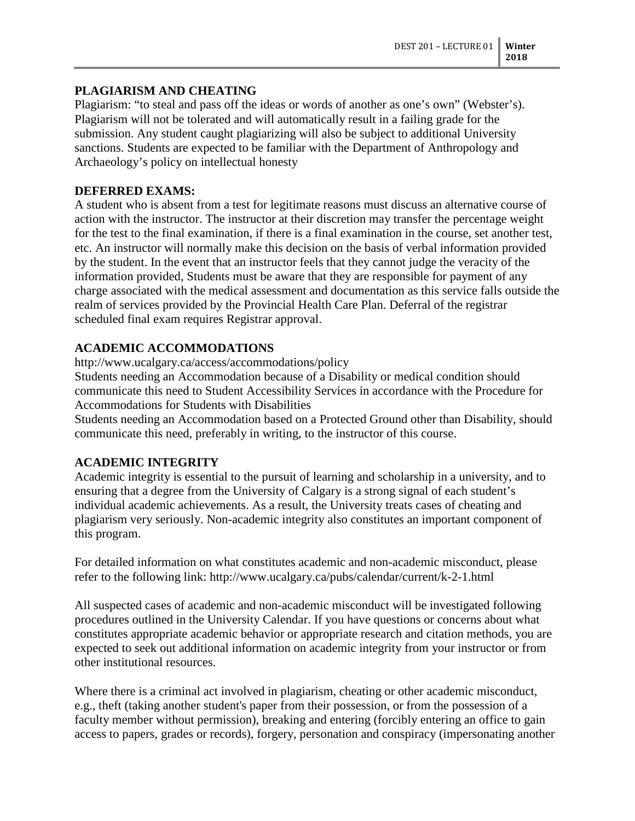### **PLAGIARISM AND CHEATING**

Plagiarism: "to steal and pass off the ideas or words of another as one's own" (Webster's). Plagiarism will not be tolerated and will automatically result in a failing grade for the submission. Any student caught plagiarizing will also be subject to additional University sanctions. Students are expected to be familiar with the Department of Anthropology and Archaeology's policy on intellectual honesty

# **DEFERRED EXAMS:**

A student who is absent from a test for legitimate reasons must discuss an alternative course of action with the instructor. The instructor at their discretion may transfer the percentage weight for the test to the final examination, if there is a final examination in the course, set another test, etc. An instructor will normally make this decision on the basis of verbal information provided by the student. In the event that an instructor feels that they cannot judge the veracity of the information provided, Students must be aware that they are responsible for payment of any charge associated with the medical assessment and documentation as this service falls outside the realm of services provided by the Provincial Health Care Plan. Deferral of the registrar scheduled final exam requires Registrar approval.

# **ACADEMIC ACCOMMODATIONS**

http://www.ucalgary.ca/access/accommodations/policy

Students needing an Accommodation because of a Disability or medical condition should communicate this need to Student Accessibility Services in accordance with the Procedure for Accommodations for Students with Disabilities

Students needing an Accommodation based on a Protected Ground other than Disability, should communicate this need, preferably in writing, to the instructor of this course.

# **ACADEMIC INTEGRITY**

Academic integrity is essential to the pursuit of learning and scholarship in a university, and to ensuring that a degree from the University of Calgary is a strong signal of each student's individual academic achievements. As a result, the University treats cases of cheating and plagiarism very seriously. Non-academic integrity also constitutes an important component of this program.

For detailed information on what constitutes academic and non-academic misconduct, please refer to the following link: http://www.ucalgary.ca/pubs/calendar/current/k-2-1.html

All suspected cases of academic and non-academic misconduct will be investigated following procedures outlined in the University Calendar. If you have questions or concerns about what constitutes appropriate academic behavior or appropriate research and citation methods, you are expected to seek out additional information on academic integrity from your instructor or from other institutional resources.

Where there is a criminal act involved in plagiarism, cheating or other academic misconduct, e.g., theft (taking another student's paper from their possession, or from the possession of a faculty member without permission), breaking and entering (forcibly entering an office to gain access to papers, grades or records), forgery, personation and conspiracy (impersonating another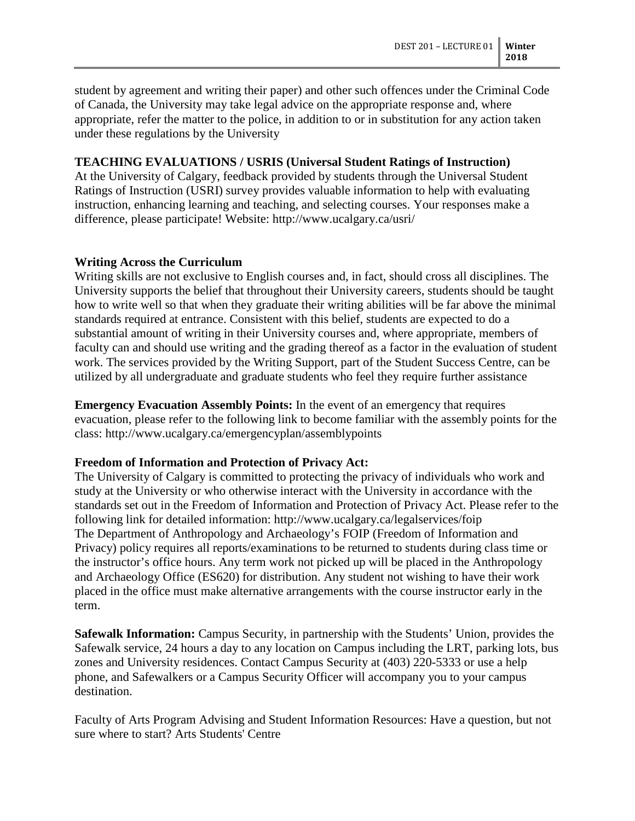student by agreement and writing their paper) and other such offences under the Criminal Code of Canada, the University may take legal advice on the appropriate response and, where appropriate, refer the matter to the police, in addition to or in substitution for any action taken under these regulations by the University

#### **TEACHING EVALUATIONS / USRIS (Universal Student Ratings of Instruction)**

At the University of Calgary, feedback provided by students through the Universal Student Ratings of Instruction (USRI) survey provides valuable information to help with evaluating instruction, enhancing learning and teaching, and selecting courses. Your responses make a difference, please participate! Website: http://www.ucalgary.ca/usri/

#### **Writing Across the Curriculum**

Writing skills are not exclusive to English courses and, in fact, should cross all disciplines. The University supports the belief that throughout their University careers, students should be taught how to write well so that when they graduate their writing abilities will be far above the minimal standards required at entrance. Consistent with this belief, students are expected to do a substantial amount of writing in their University courses and, where appropriate, members of faculty can and should use writing and the grading thereof as a factor in the evaluation of student work. The services provided by the Writing Support, part of the Student Success Centre, can be utilized by all undergraduate and graduate students who feel they require further assistance

**Emergency Evacuation Assembly Points:** In the event of an emergency that requires evacuation, please refer to the following link to become familiar with the assembly points for the class: http://www.ucalgary.ca/emergencyplan/assemblypoints

#### **Freedom of Information and Protection of Privacy Act:**

The University of Calgary is committed to protecting the privacy of individuals who work and study at the University or who otherwise interact with the University in accordance with the standards set out in the Freedom of Information and Protection of Privacy Act. Please refer to the following link for detailed information: http://www.ucalgary.ca/legalservices/foip The Department of Anthropology and Archaeology's FOIP (Freedom of Information and Privacy) policy requires all reports/examinations to be returned to students during class time or the instructor's office hours. Any term work not picked up will be placed in the Anthropology and Archaeology Office (ES620) for distribution. Any student not wishing to have their work placed in the office must make alternative arrangements with the course instructor early in the term.

**Safewalk Information:** Campus Security, in partnership with the Students' Union, provides the Safewalk service, 24 hours a day to any location on Campus including the LRT, parking lots, bus zones and University residences. Contact Campus Security at (403) 220-5333 or use a help phone, and Safewalkers or a Campus Security Officer will accompany you to your campus destination.

Faculty of Arts Program Advising and Student Information Resources: Have a question, but not sure where to start? Arts Students' Centre